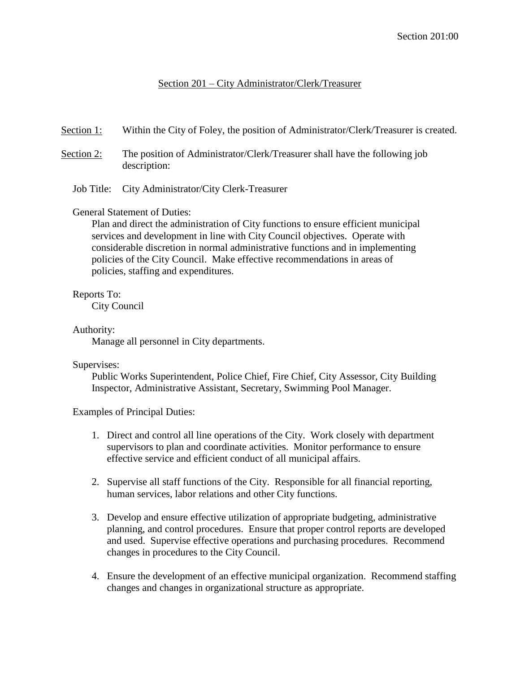## Section 201 – City Administrator/Clerk/Treasurer

Section 1: Within the City of Foley, the position of Administrator/Clerk/Treasurer is created.

- Section 2: The position of Administrator/Clerk/Treasurer shall have the following job description:
	- Job Title: City Administrator/City Clerk-Treasurer

### General Statement of Duties:

Plan and direct the administration of City functions to ensure efficient municipal services and development in line with City Council objectives. Operate with considerable discretion in normal administrative functions and in implementing policies of the City Council. Make effective recommendations in areas of policies, staffing and expenditures.

# Reports To:

City Council

## Authority:

Manage all personnel in City departments.

### Supervises:

Public Works Superintendent, Police Chief, Fire Chief, City Assessor, City Building Inspector, Administrative Assistant, Secretary, Swimming Pool Manager.

Examples of Principal Duties:

- 1. Direct and control all line operations of the City. Work closely with department supervisors to plan and coordinate activities. Monitor performance to ensure effective service and efficient conduct of all municipal affairs.
- 2. Supervise all staff functions of the City. Responsible for all financial reporting, human services, labor relations and other City functions.
- 3. Develop and ensure effective utilization of appropriate budgeting, administrative planning, and control procedures. Ensure that proper control reports are developed and used. Supervise effective operations and purchasing procedures. Recommend changes in procedures to the City Council.
- 4. Ensure the development of an effective municipal organization. Recommend staffing changes and changes in organizational structure as appropriate.